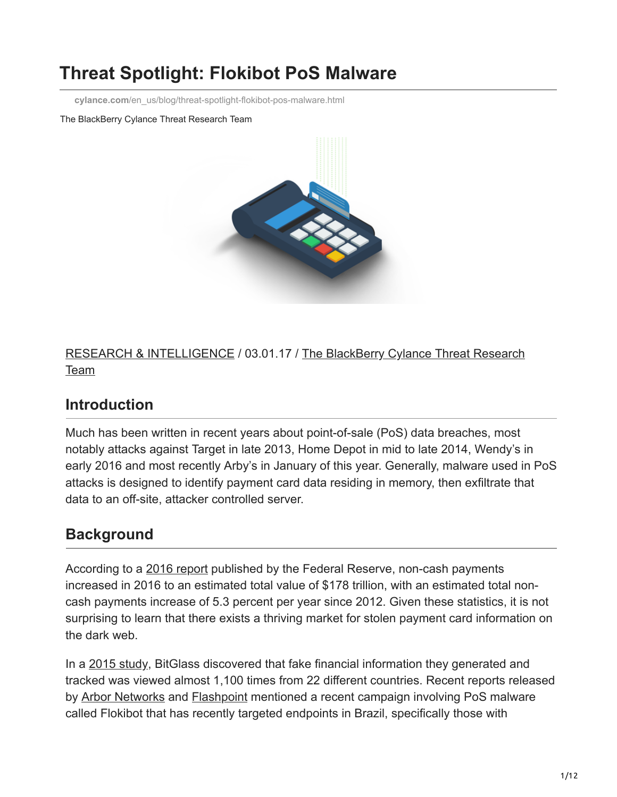# **Threat Spotlight: Flokibot PoS Malware**

**cylance.com**[/en\\_us/blog/threat-spotlight-flokibot-pos-malware.html](https://www.cylance.com/en_us/blog/threat-spotlight-flokibot-pos-malware.html)

The BlackBerry Cylance Threat Research Team



[RESEARCH & INTELLIGENCE](https://www.cylance.com/en/category/research-and-intelligence) [/ 03.01.17 / The BlackBerry Cylance Threat Research](https://www.cylance.com/en/author/the-cylance-threat-research-team) Team

## **Introduction**

Much has been written in recent years about point-of-sale (PoS) data breaches, most notably attacks against Target in late 2013, Home Depot in mid to late 2014, Wendy's in early 2016 and most recently Arby's in January of this year. Generally, malware used in PoS attacks is designed to identify payment card data residing in memory, then exfiltrate that data to an off-site, attacker controlled server.

## **Background**

According to a [2016 report](https://www.federalreserve.gov/newsevents/press/other/2016-payments-study-20161222.pdf) published by the Federal Reserve, non-cash payments increased in 2016 to an estimated total value of \$178 trillion, with an estimated total noncash payments increase of 5.3 percent per year since 2012. Given these statistics, it is not surprising to learn that there exists a thriving market for stolen payment card information on the dark web.

In a [2015 study](http://www.darkreading.com/attacks-breaches/what-happens-when-personal-information-hits-the-dark-web/d/d-id/1319801), BitGlass discovered that fake financial information they generated and tracked was viewed almost 1,100 times from 22 different countries. Recent reports released by [Arbor Networks](https://www.arbornetworks.com/blog/asert/flokibot-invades-pos-trouble-brazil/) and [Flashpoint](https://www.flashpoint-intel.com/flokibot-curious-case-brazilian-connector/) mentioned a recent campaign involving PoS malware called Flokibot that has recently targeted endpoints in Brazil, specifically those with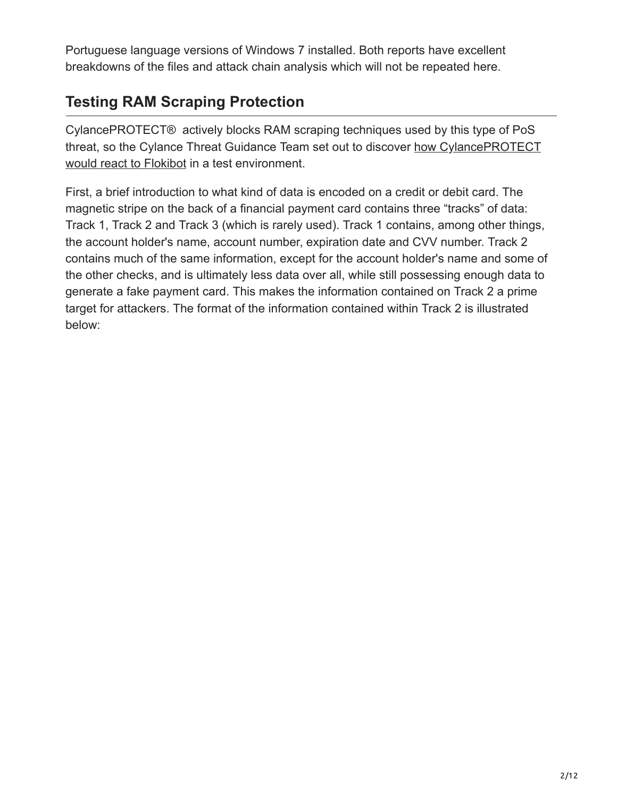Portuguese language versions of Windows 7 installed. Both reports have excellent breakdowns of the files and attack chain analysis which will not be repeated here.

## **Testing RAM Scraping Protection**

CylancePROTECT® actively blocks RAM scraping techniques used by this type of PoS [threat, so the Cylance Threat Guidance Team set out to discover how CylancePROTECT](https://threatvector.cylance.com/en_us/home/cylance-vs-flokibot-pos-malware.html) would react to Flokibot in a test environment.

First, a brief introduction to what kind of data is encoded on a credit or debit card. The magnetic stripe on the back of a financial payment card contains three "tracks" of data: Track 1, Track 2 and Track 3 (which is rarely used). Track 1 contains, among other things, the account holder's name, account number, expiration date and CVV number. Track 2 contains much of the same information, except for the account holder's name and some of the other checks, and is ultimately less data over all, while still possessing enough data to generate a fake payment card. This makes the information contained on Track 2 a prime target for attackers. The format of the information contained within Track 2 is illustrated below: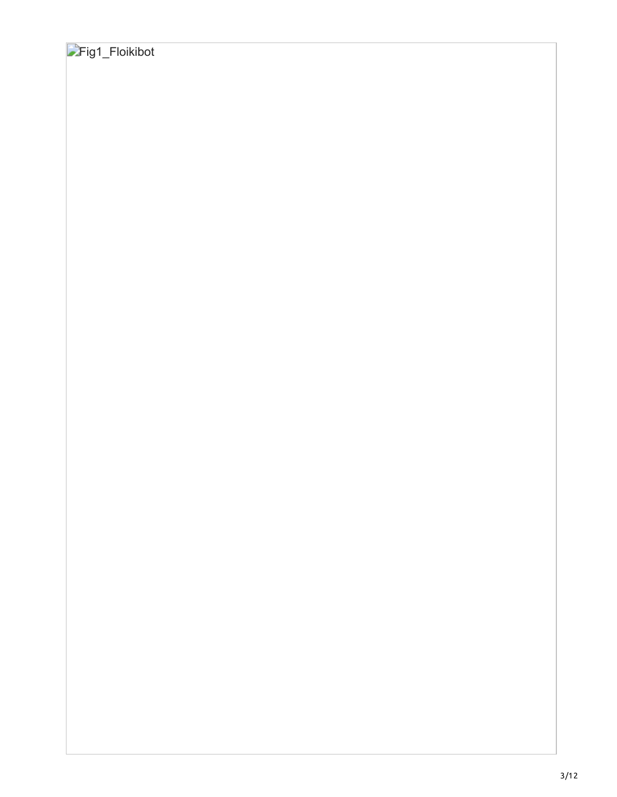# Fig1\_Floikibot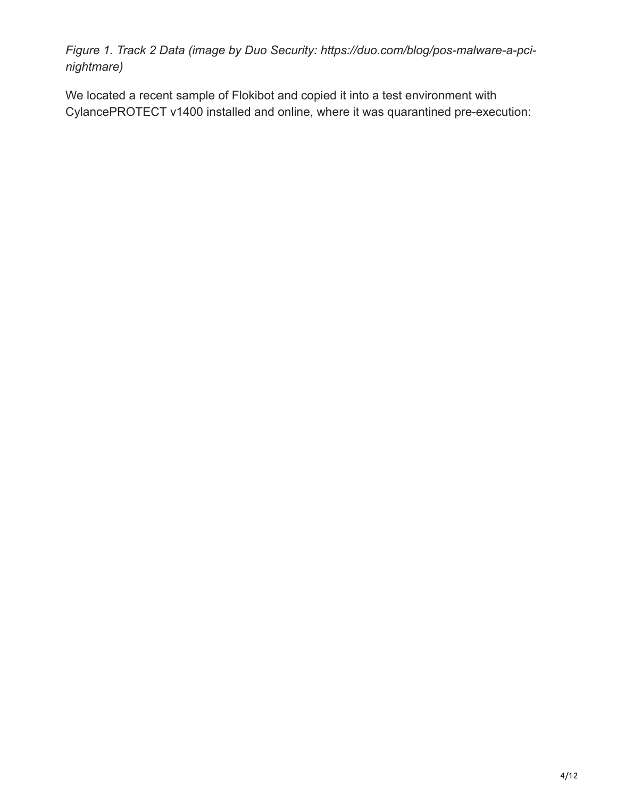*Figure 1. Track 2 Data (image by Duo Security: https://duo.com/blog/pos-malware-a-pcinightmare)*

We located a recent sample of Flokibot and copied it into a test environment with CylancePROTECT v1400 installed and online, where it was quarantined pre-execution: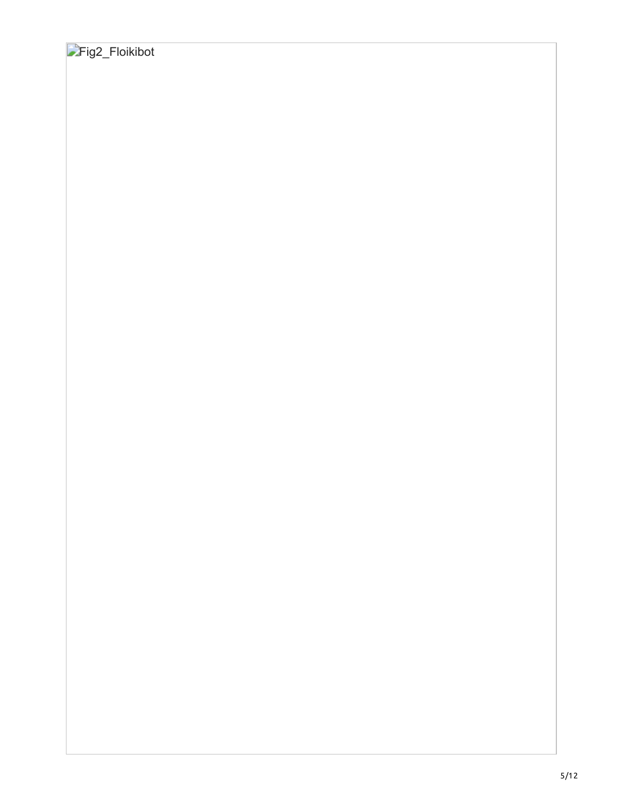## Fig2\_Floikibot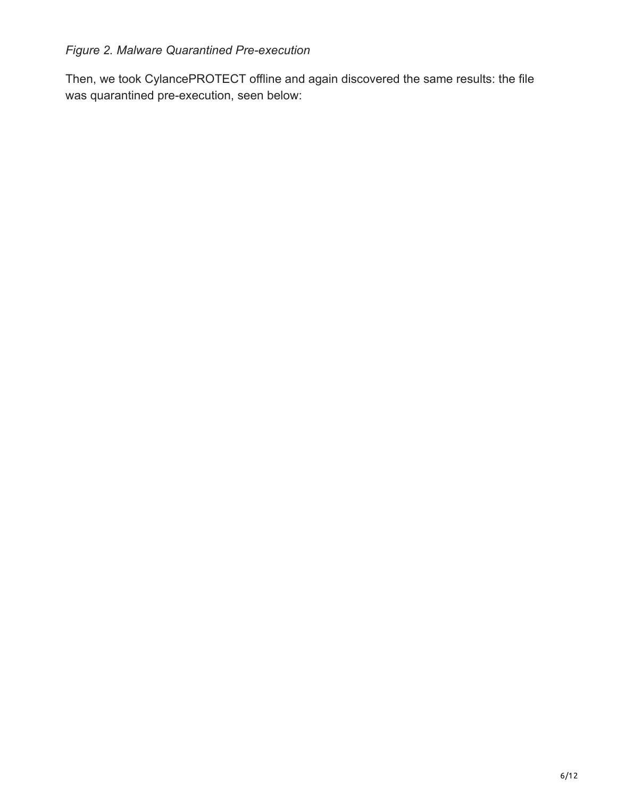#### *Figure 2. Malware Quarantined Pre-execution*

Then, we took CylancePROTECT offline and again discovered the same results: the file was quarantined pre-execution, seen below: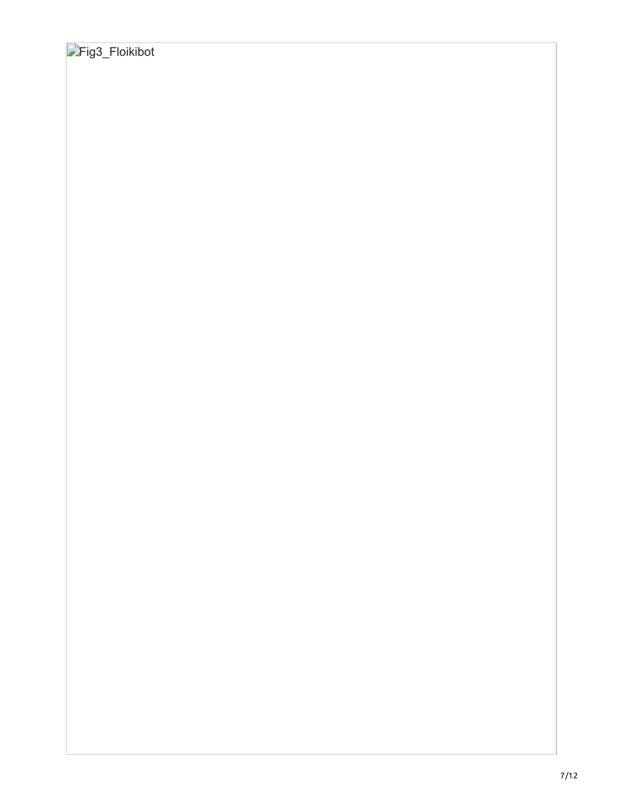# Fig3\_Floikibot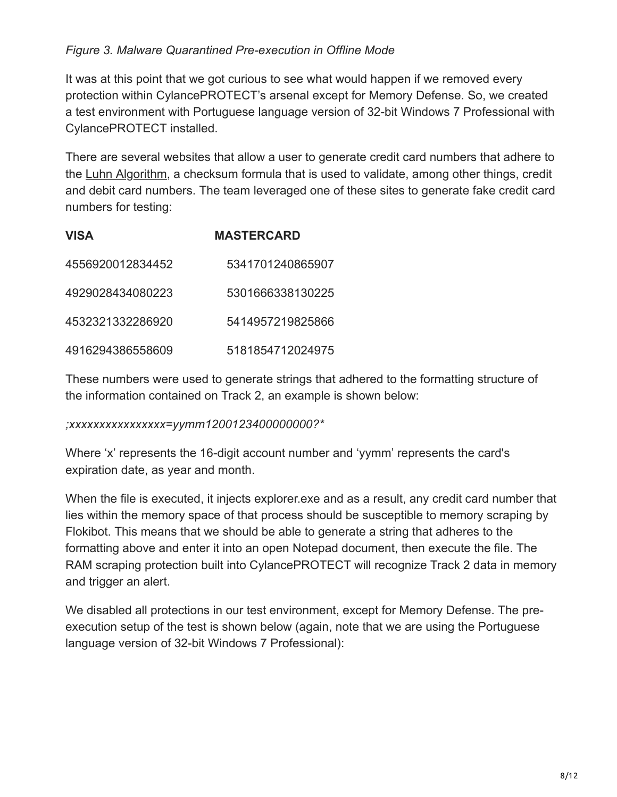#### *Figure 3. Malware Quarantined Pre-execution in Offline Mode*

It was at this point that we got curious to see what would happen if we removed every protection within CylancePROTECT's arsenal except for Memory Defense. So, we created a test environment with Portuguese language version of 32-bit Windows 7 Professional with CylancePROTECT installed.

There are several websites that allow a user to generate credit card numbers that adhere to the [Luhn Algorithm,](https://en.wikipedia.org/wiki/Luhn_algorithm) a checksum formula that is used to validate, among other things, credit and debit card numbers. The team leveraged one of these sites to generate fake credit card numbers for testing:

| <b>VISA</b>      | <b>MASTERCARD</b> |
|------------------|-------------------|
| 4556920012834452 | 5341701240865907  |
| 4929028434080223 | 5301666338130225  |
| 4532321332286920 | 5414957219825866  |
| 4916294386558609 | 5181854712024975  |

These numbers were used to generate strings that adhered to the formatting structure of the information contained on Track 2, an example is shown below:

*;xxxxxxxxxxxxxxxx=yymm1200123400000000?\**

Where 'x' represents the 16-digit account number and 'yymm' represents the card's expiration date, as year and month.

When the file is executed, it injects explorer.exe and as a result, any credit card number that lies within the memory space of that process should be susceptible to memory scraping by Flokibot. This means that we should be able to generate a string that adheres to the formatting above and enter it into an open Notepad document, then execute the file. The RAM scraping protection built into CylancePROTECT will recognize Track 2 data in memory and trigger an alert.

We disabled all protections in our test environment, except for Memory Defense. The preexecution setup of the test is shown below (again, note that we are using the Portuguese language version of 32-bit Windows 7 Professional):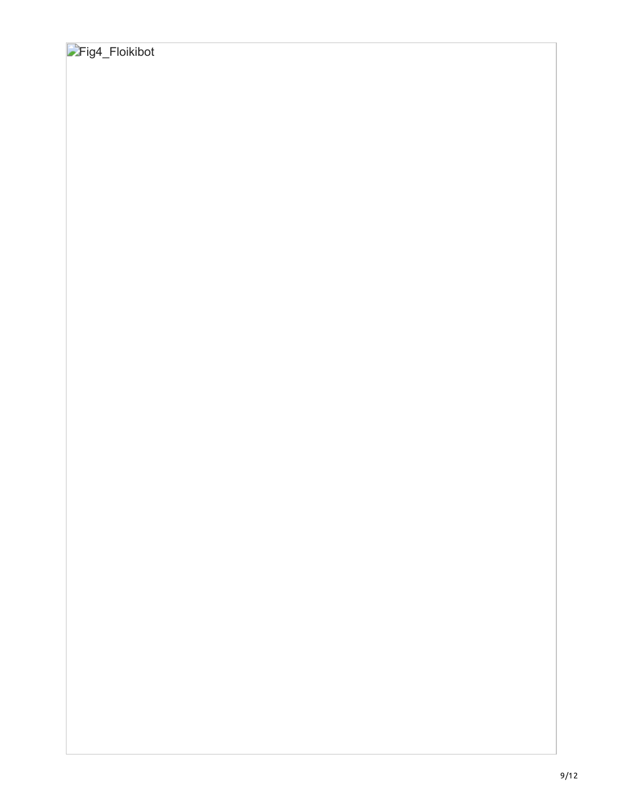## Fig4\_Floikibot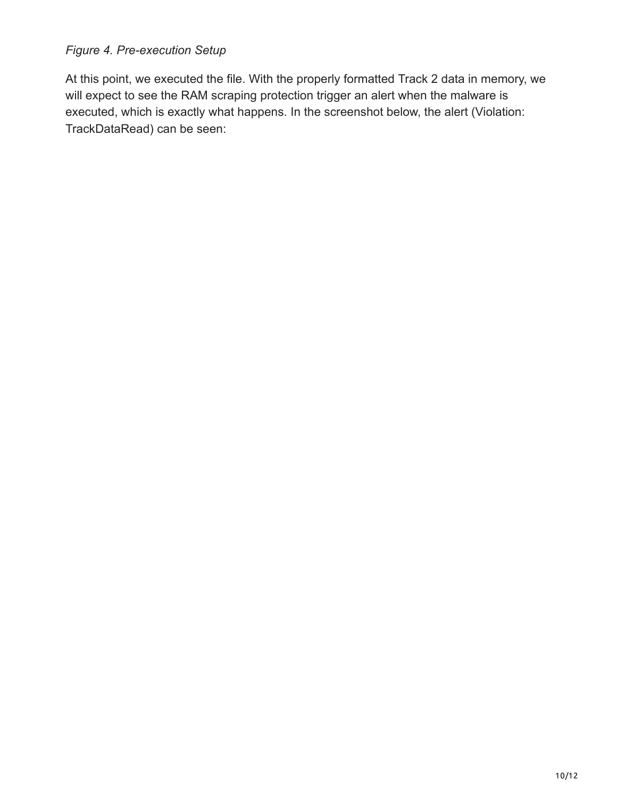#### *Figure 4. Pre-execution Setup*

At this point, we executed the file. With the properly formatted Track 2 data in memory, we will expect to see the RAM scraping protection trigger an alert when the malware is executed, which is exactly what happens. In the screenshot below, the alert (Violation: TrackDataRead) can be seen: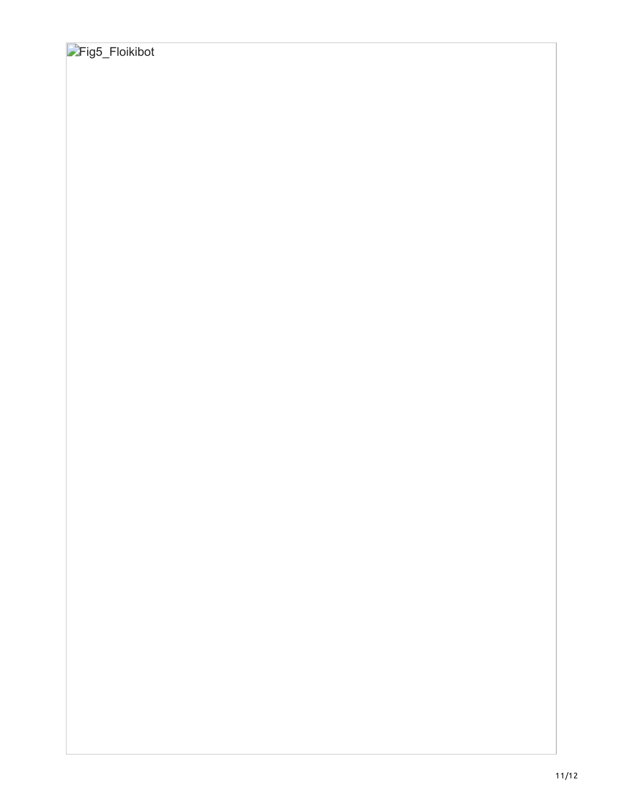# Fig5\_Floikibot